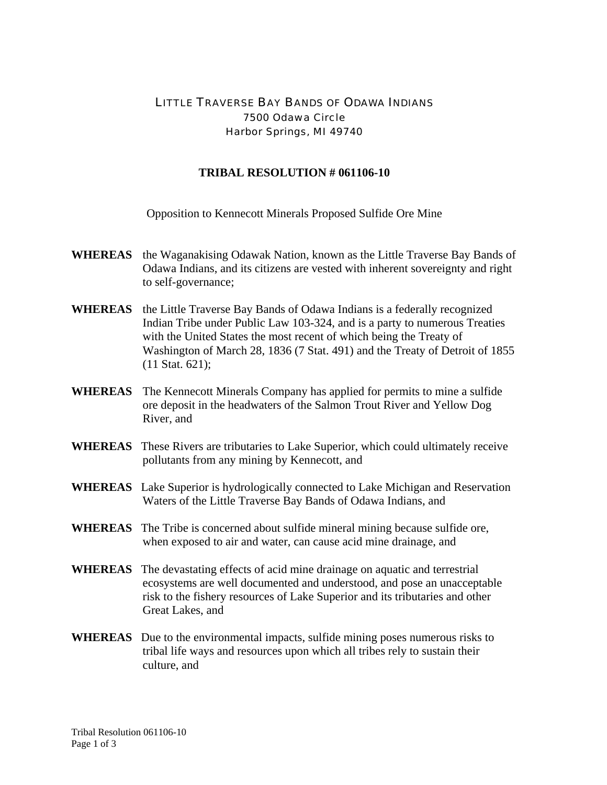## LITTLE TRAVERSE BAY BANDS OF ODAWA INDIANS 7500 Odawa Circle Harbor Springs, MI 49740

## **TRIBAL RESOLUTION # 061106-10**

Opposition to Kennecott Minerals Proposed Sulfide Ore Mine

- **WHEREAS** the Waganakising Odawak Nation, known as the Little Traverse Bay Bands of Odawa Indians, and its citizens are vested with inherent sovereignty and right to self-governance;
- **WHEREAS** the Little Traverse Bay Bands of Odawa Indians is a federally recognized Indian Tribe under Public Law 103-324, and is a party to numerous Treaties with the United States the most recent of which being the Treaty of Washington of March 28, 1836 (7 Stat. 491) and the Treaty of Detroit of 1855 (11 Stat. 621);
- **WHEREAS** The Kennecott Minerals Company has applied for permits to mine a sulfide ore deposit in the headwaters of the Salmon Trout River and Yellow Dog River, and
- **WHEREAS** These Rivers are tributaries to Lake Superior, which could ultimately receive pollutants from any mining by Kennecott, and
- **WHEREAS** Lake Superior is hydrologically connected to Lake Michigan and Reservation Waters of the Little Traverse Bay Bands of Odawa Indians, and
- **WHEREAS** The Tribe is concerned about sulfide mineral mining because sulfide ore, when exposed to air and water, can cause acid mine drainage, and
- **WHEREAS** The devastating effects of acid mine drainage on aquatic and terrestrial ecosystems are well documented and understood, and pose an unacceptable risk to the fishery resources of Lake Superior and its tributaries and other Great Lakes, and
- **WHEREAS** Due to the environmental impacts, sulfide mining poses numerous risks to tribal life ways and resources upon which all tribes rely to sustain their culture, and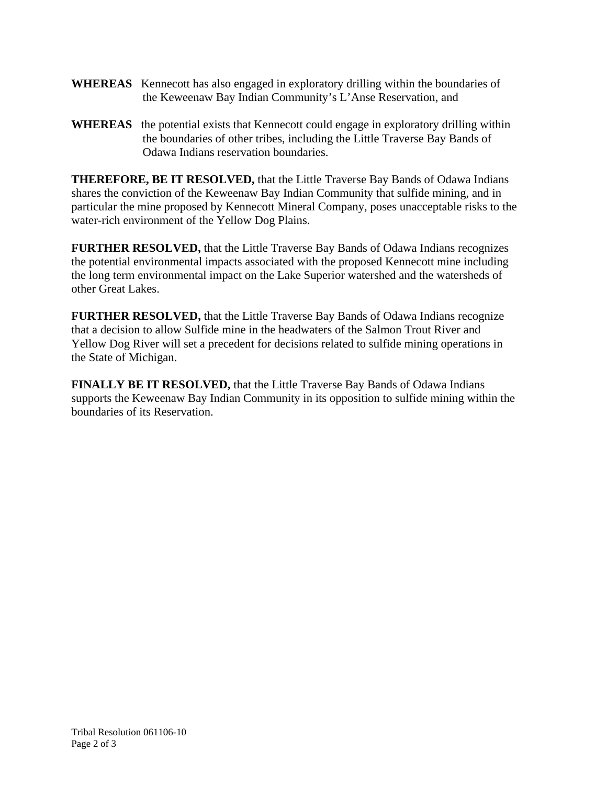- **WHEREAS** Kennecott has also engaged in exploratory drilling within the boundaries of the Keweenaw Bay Indian Community's L'Anse Reservation, and
- **WHEREAS** the potential exists that Kennecott could engage in exploratory drilling within the boundaries of other tribes, including the Little Traverse Bay Bands of Odawa Indians reservation boundaries.

**THEREFORE, BE IT RESOLVED,** that the Little Traverse Bay Bands of Odawa Indians shares the conviction of the Keweenaw Bay Indian Community that sulfide mining, and in particular the mine proposed by Kennecott Mineral Company, poses unacceptable risks to the water-rich environment of the Yellow Dog Plains.

**FURTHER RESOLVED,** that the Little Traverse Bay Bands of Odawa Indians recognizes the potential environmental impacts associated with the proposed Kennecott mine including the long term environmental impact on the Lake Superior watershed and the watersheds of other Great Lakes.

**FURTHER RESOLVED,** that the Little Traverse Bay Bands of Odawa Indians recognize that a decision to allow Sulfide mine in the headwaters of the Salmon Trout River and Yellow Dog River will set a precedent for decisions related to sulfide mining operations in the State of Michigan.

**FINALLY BE IT RESOLVED,** that the Little Traverse Bay Bands of Odawa Indians supports the Keweenaw Bay Indian Community in its opposition to sulfide mining within the boundaries of its Reservation.